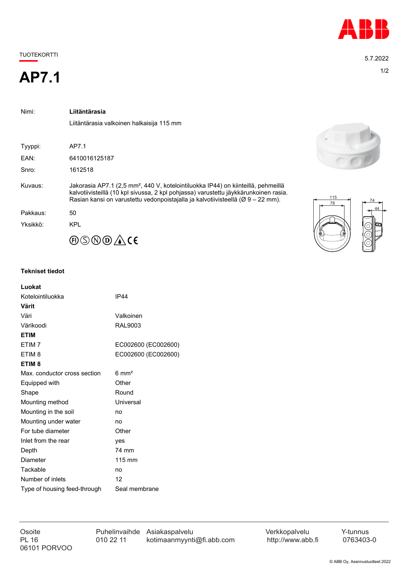## TUOTEKORTTI 5.7.2022

# 1/2 **AP7.1**

| Nimi:    | Liitäntärasia                                                                                                                                                                                                                                                            |           |
|----------|--------------------------------------------------------------------------------------------------------------------------------------------------------------------------------------------------------------------------------------------------------------------------|-----------|
|          | Liitäntärasia valkoinen halkaisija 115 mm                                                                                                                                                                                                                                |           |
|          |                                                                                                                                                                                                                                                                          |           |
| Tyyppi:  | AP7.1                                                                                                                                                                                                                                                                    |           |
| EAN:     | 6410016125187                                                                                                                                                                                                                                                            |           |
| Snro:    | 1612518                                                                                                                                                                                                                                                                  |           |
| Kuvaus:  | Jakorasia AP7.1 (2,5 mm <sup>2</sup> , 440 V, kotelointiluokka IP44) on kiinteillä, pehmeillä<br>kalvotiivisteillä (10 kpl sivussa, 2 kpl pohjassa) varustettu jäykkärunkoinen rasia.<br>Rasian kansi on varustettu vedonpoistajalla ja kalvotiivisteellä (Ø 9 – 22 mm). | 115<br>78 |
| Pakkaus: | 50                                                                                                                                                                                                                                                                       |           |
| Yksikkö: | <b>KPL</b>                                                                                                                                                                                                                                                               | G         |
|          | ℗⑤℗℗ÅK                                                                                                                                                                                                                                                                   |           |

### **Tekniset tiedot**

| Luokat                       |                     |
|------------------------------|---------------------|
| Kotelointiluokka             | <b>IP44</b>         |
| Värit                        |                     |
| Väri                         | Valkoinen           |
| Värikoodi                    | RAL9003             |
| <b>ETIM</b>                  |                     |
| FTIM <sub>7</sub>            | EC002600 (EC002600) |
| ETIM <sub>8</sub>            | EC002600 (EC002600) |
| ETIM <sub>8</sub>            |                     |
| Max. conductor cross section | $6 \text{ mm}^2$    |
| Equipped with                | Other               |
| Shape                        | Round               |
| Mounting method              | Universal           |
| Mounting in the soil         | no                  |
| Mounting under water         | no                  |
| For tube diameter            | Other               |
| Inlet from the rear          | ves                 |
| Depth                        | 74 mm               |
| Diameter                     | 115 mm              |
| Tackable                     | no                  |
| Number of inlets             | 12                  |
| Type of housing feed-through | Seal membrane       |

06101 PORVOO